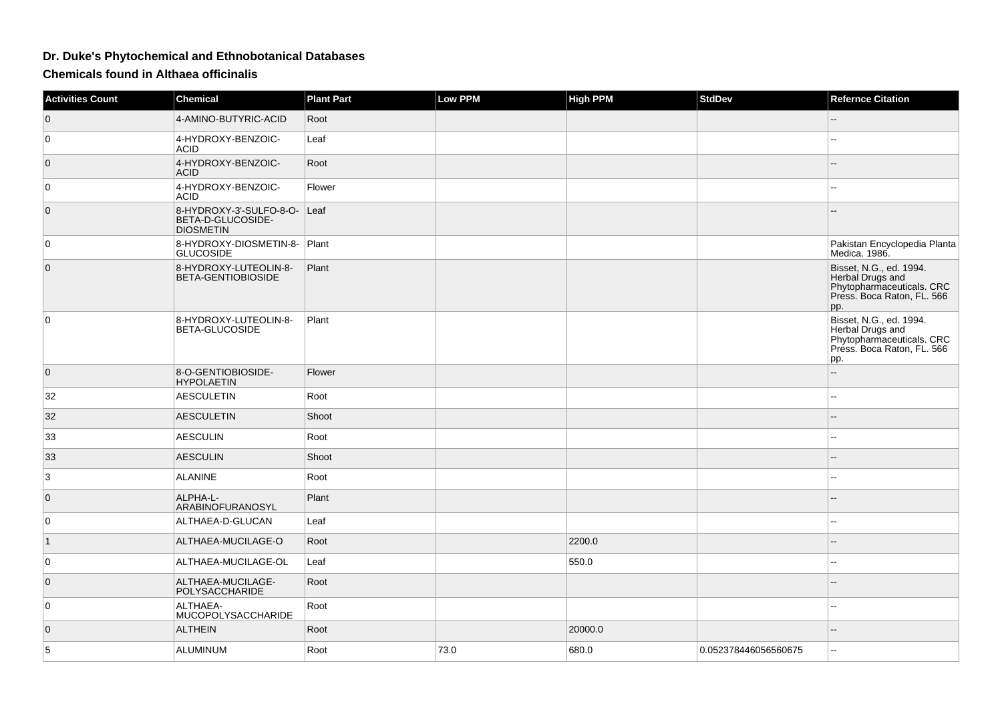## **Dr. Duke's Phytochemical and Ethnobotanical Databases**

**Chemicals found in Althaea officinalis**

| <b>Activities Count</b> | <b>Chemical</b>                                                  | <b>Plant Part</b> | <b>Low PPM</b> | <b>High PPM</b> | <b>StdDev</b>        | <b>Refernce Citation</b>                                                                                      |
|-------------------------|------------------------------------------------------------------|-------------------|----------------|-----------------|----------------------|---------------------------------------------------------------------------------------------------------------|
| $\overline{0}$          | 4-AMINO-BUTYRIC-ACID                                             | Root              |                |                 |                      |                                                                                                               |
| $\mathbf 0$             | 4-HYDROXY-BENZOIC-<br><b>ACID</b>                                | Leaf              |                |                 |                      | --                                                                                                            |
| $\overline{0}$          | 4-HYDROXY-BENZOIC-<br><b>ACID</b>                                | Root              |                |                 |                      |                                                                                                               |
| $\mathbf 0$             | 4-HYDROXY-BENZOIC-<br><b>ACID</b>                                | Flower            |                |                 |                      | шш.                                                                                                           |
| $\mathbf 0$             | 8-HYDROXY-3'-SULFO-8-O-<br>BETA-D-GLUCOSIDE-<br><b>DIOSMETIN</b> | Leaf              |                |                 |                      |                                                                                                               |
| 0                       | 8-HYDROXY-DIOSMETIN-8- Plant<br><b>GLUCOSIDE</b>                 |                   |                |                 |                      | Pakistan Encyclopedia Planta<br>Medica. 1986.                                                                 |
| $\overline{0}$          | 8-HYDROXY-LUTEOLIN-8-<br>BETA-GENTIOBIOSIDE                      | Plant             |                |                 |                      | Bisset, N.G., ed. 1994.<br>Herbal Drugs and<br>Phytopharmaceuticals. CRC<br>Press. Boca Raton, FL. 566<br>pp. |
| 0                       | 8-HYDROXY-LUTEOLIN-8-<br>BETA-GLUCOSIDE                          | Plant             |                |                 |                      | Bisset, N.G., ed. 1994.<br>Herbal Drugs and<br>Phytopharmaceuticals. CRC<br>Préss. Boca Raton, FL. 566<br>pp. |
| $\overline{0}$          | 8-O-GENTIOBIOSIDE-<br><b>HYPOLAETIN</b>                          | Flower            |                |                 |                      | $\overline{a}$                                                                                                |
| 32                      | <b>AESCULETIN</b>                                                | Root              |                |                 |                      | $-1$                                                                                                          |
| 32                      | <b>AESCULETIN</b>                                                | Shoot             |                |                 |                      |                                                                                                               |
| 33                      | <b>AESCULIN</b>                                                  | Root              |                |                 |                      |                                                                                                               |
| 33                      | <b>AESCULIN</b>                                                  | Shoot             |                |                 |                      | --                                                                                                            |
| 3                       | <b>ALANINE</b>                                                   | Root              |                |                 |                      | $-1$                                                                                                          |
| $\overline{0}$          | ALPHA-L-<br>ARABINOFURANOSYL                                     | Plant             |                |                 |                      | --                                                                                                            |
| $\mathbf 0$             | ALTHAEA-D-GLUCAN                                                 | Leaf              |                |                 |                      | --                                                                                                            |
| $\vert$ 1               | ALTHAEA-MUCILAGE-O                                               | Root              |                | 2200.0          |                      |                                                                                                               |
| $\mathbf 0$             | ALTHAEA-MUCILAGE-OL                                              | Leaf              |                | 550.0           |                      | ۵.                                                                                                            |
| $\overline{0}$          | ALTHAEA-MUCILAGE-<br>POLYSACCHARIDE                              | Root              |                |                 |                      |                                                                                                               |
| 0                       | ALTHAEA-<br>MUCOPOLYSACCHARIDE                                   | Root              |                |                 |                      | 44                                                                                                            |
| $\overline{0}$          | <b>ALTHEIN</b>                                                   | Root              |                | 20000.0         |                      | ۵.                                                                                                            |
| 5                       | ALUMINUM                                                         | Root              | 73.0           | 680.0           | 0.052378446056560675 | L.                                                                                                            |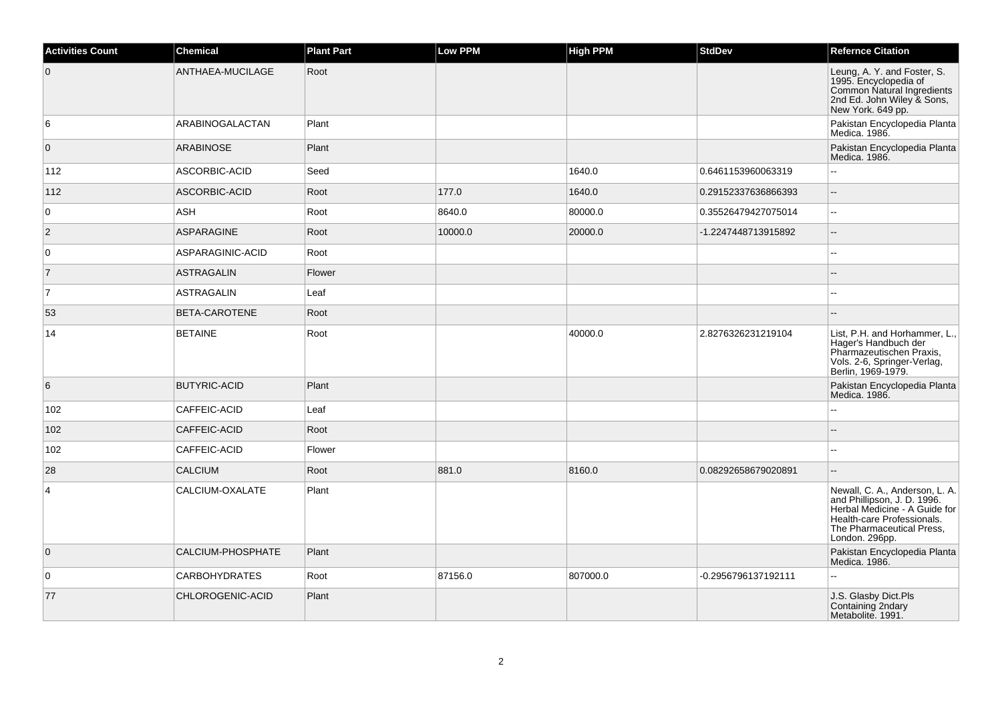| <b>Activities Count</b> | <b>Chemical</b>        | <b>Plant Part</b> | Low PPM | <b>High PPM</b> | <b>StdDev</b>       | <b>Refernce Citation</b>                                                                                                                                                    |
|-------------------------|------------------------|-------------------|---------|-----------------|---------------------|-----------------------------------------------------------------------------------------------------------------------------------------------------------------------------|
| $\overline{0}$          | ANTHAEA-MUCILAGE       | Root              |         |                 |                     | Leung, A. Y. and Foster, S.<br>1995. Encyclopedia of<br>Common Natural Ingredients<br>2nd Ed. John Wiley & Sons,<br>New York. 649 pp.                                       |
| 6                       | <b>ARABINOGALACTAN</b> | Plant             |         |                 |                     | Pakistan Encyclopedia Planta<br>Medica. 1986.                                                                                                                               |
| $\overline{0}$          | <b>ARABINOSE</b>       | Plant             |         |                 |                     | Pakistan Encyclopedia Planta<br>Medica. 1986.                                                                                                                               |
| 112                     | ASCORBIC-ACID          | Seed              |         | 1640.0          | 0.6461153960063319  |                                                                                                                                                                             |
| 112                     | ASCORBIC-ACID          | Root              | 177.0   | 1640.0          | 0.29152337636866393 | $\overline{a}$                                                                                                                                                              |
| 0                       | ASH                    | Root              | 8640.0  | 80000.0         | 0.35526479427075014 | Ξ.                                                                                                                                                                          |
| $\overline{2}$          | <b>ASPARAGINE</b>      | Root              | 10000.0 | 20000.0         | -1.2247448713915892 | L.                                                                                                                                                                          |
| 0                       | ASPARAGINIC-ACID       | Root              |         |                 |                     |                                                                                                                                                                             |
| 7                       | ASTRAGALIN             | Flower            |         |                 |                     |                                                                                                                                                                             |
| 7                       | <b>ASTRAGALIN</b>      | Leaf              |         |                 |                     |                                                                                                                                                                             |
| 53                      | <b>BETA-CAROTENE</b>   | Root              |         |                 |                     | $-$                                                                                                                                                                         |
| 14                      | <b>BETAINE</b>         | Root              |         | 40000.0         | 2.8276326231219104  | List, P.H. and Horhammer, L.,<br>Hager's Handbuch der<br>Pharmazeutischen Praxis,<br>Vols. 2-6, Springer-Verlag,<br>Berlin, 1969-1979.                                      |
| 6                       | <b>BUTYRIC-ACID</b>    | Plant             |         |                 |                     | Pakistan Encyclopedia Planta<br>Medica. 1986.                                                                                                                               |
| 102                     | CAFFEIC-ACID           | Leaf              |         |                 |                     |                                                                                                                                                                             |
| 102                     | CAFFEIC-ACID           | Root              |         |                 |                     |                                                                                                                                                                             |
| 102                     | CAFFEIC-ACID           | Flower            |         |                 |                     | ۵۵                                                                                                                                                                          |
| 28                      | <b>CALCIUM</b>         | Root              | 881.0   | 8160.0          | 0.08292658679020891 | Ξ.                                                                                                                                                                          |
| 4                       | CALCIUM-OXALATE        | Plant             |         |                 |                     | Newall, C. A., Anderson, L. A.<br>and Phillipson, J. D. 1996.<br>Herbal Medicine - A Guide for<br>Health-care Professionals.<br>The Pharmaceutical Press,<br>London. 296pp. |
| $\overline{0}$          | CALCIUM-PHOSPHATE      | Plant             |         |                 |                     | Pakistan Encyclopedia Planta<br>Medica. 1986.                                                                                                                               |
| 0                       | <b>CARBOHYDRATES</b>   | Root              | 87156.0 | 807000.0        | -0.2956796137192111 |                                                                                                                                                                             |
| 77                      | CHLOROGENIC-ACID       | Plant             |         |                 |                     | J.S. Glasby Dict.Pls<br>Containing 2ndary<br>Metabolite. 1991.                                                                                                              |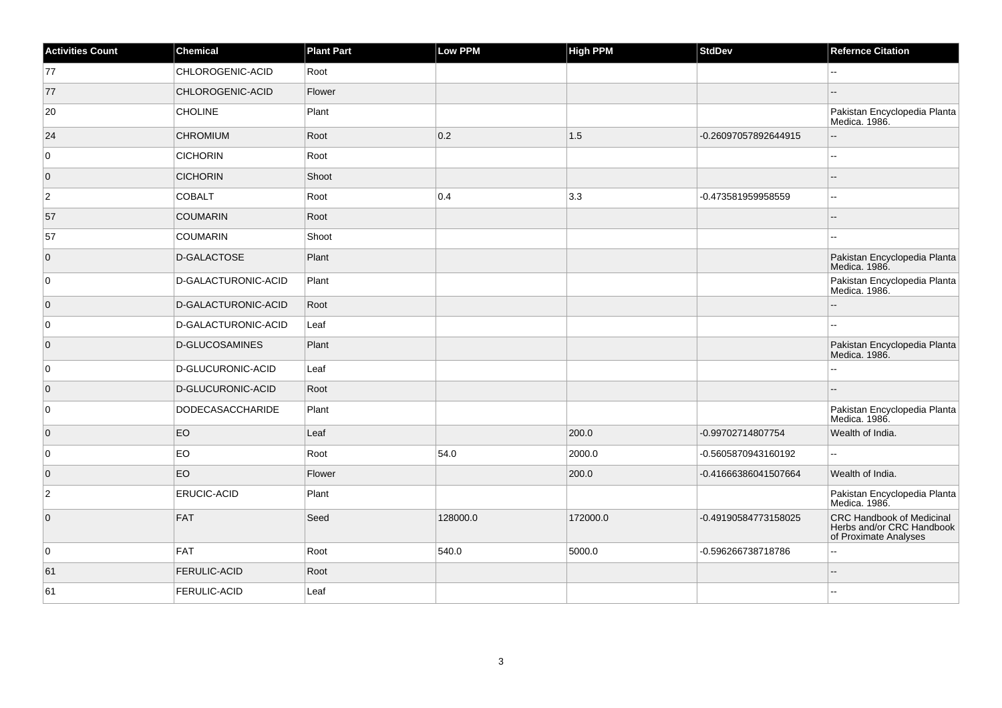| <b>Activities Count</b> | <b>Chemical</b>         | <b>Plant Part</b> | <b>Low PPM</b> | <b>High PPM</b> | <b>StdDev</b>        | <b>Refernce Citation</b>                                                               |
|-------------------------|-------------------------|-------------------|----------------|-----------------|----------------------|----------------------------------------------------------------------------------------|
| 77                      | CHLOROGENIC-ACID        | Root              |                |                 |                      |                                                                                        |
| 77                      | CHLOROGENIC-ACID        | Flower            |                |                 |                      |                                                                                        |
| 20                      | <b>CHOLINE</b>          | Plant             |                |                 |                      | Pakistan Encyclopedia Planta<br>Medica. 1986.                                          |
| 24                      | <b>CHROMIUM</b>         | Root              | 0.2            | 1.5             | -0.26097057892644915 |                                                                                        |
| $\overline{0}$          | <b>CICHORIN</b>         | Root              |                |                 |                      | $\overline{a}$                                                                         |
| $\overline{0}$          | <b>CICHORIN</b>         | Shoot             |                |                 |                      |                                                                                        |
| $\overline{2}$          | <b>COBALT</b>           | Root              | 0.4            | 3.3             | -0.473581959958559   | $\overline{a}$                                                                         |
| 57                      | <b>COUMARIN</b>         | Root              |                |                 |                      |                                                                                        |
| 57                      | <b>COUMARIN</b>         | Shoot             |                |                 |                      | --                                                                                     |
| $\overline{0}$          | D-GALACTOSE             | Plant             |                |                 |                      | Pakistan Encyclopedia Planta<br>Medica. 1986.                                          |
| $\overline{0}$          | D-GALACTURONIC-ACID     | Plant             |                |                 |                      | Pakistan Encyclopedia Planta<br>Medica. 1986.                                          |
| $\overline{0}$          | D-GALACTURONIC-ACID     | Root              |                |                 |                      |                                                                                        |
| $\overline{0}$          | D-GALACTURONIC-ACID     | Leaf              |                |                 |                      |                                                                                        |
| $\overline{0}$          | D-GLUCOSAMINES          | Plant             |                |                 |                      | Pakistan Encyclopedia Planta<br>Medica. 1986.                                          |
| 0                       | D-GLUCURONIC-ACID       | Leaf              |                |                 |                      |                                                                                        |
| $\overline{0}$          | D-GLUCURONIC-ACID       | Root              |                |                 |                      | --                                                                                     |
| $\overline{0}$          | <b>DODECASACCHARIDE</b> | Plant             |                |                 |                      | Pakistan Encyclopedia Planta<br>Medica. 1986.                                          |
| $\overline{0}$          | EO                      | Leaf              |                | 200.0           | -0.99702714807754    | Wealth of India.                                                                       |
| $\overline{0}$          | EO                      | Root              | 54.0           | 2000.0          | -0.5605870943160192  |                                                                                        |
| $\overline{0}$          | <b>EO</b>               | Flower            |                | 200.0           | -0.41666386041507664 | Wealth of India.                                                                       |
| $\overline{2}$          | <b>ERUCIC-ACID</b>      | Plant             |                |                 |                      | Pakistan Encyclopedia Planta<br>Medica. 1986.                                          |
| $\overline{0}$          | FAT                     | Seed              | 128000.0       | 172000.0        | -0.49190584773158025 | <b>CRC Handbook of Medicinal</b><br>Herbs and/or CRC Handbook<br>of Proximate Analyses |
| $\overline{0}$          | FAT                     | Root              | 540.0          | 5000.0          | -0.596266738718786   | --                                                                                     |
| 61                      | <b>FERULIC-ACID</b>     | Root              |                |                 |                      | --                                                                                     |
| 61                      | <b>FERULIC-ACID</b>     | Leaf              |                |                 |                      |                                                                                        |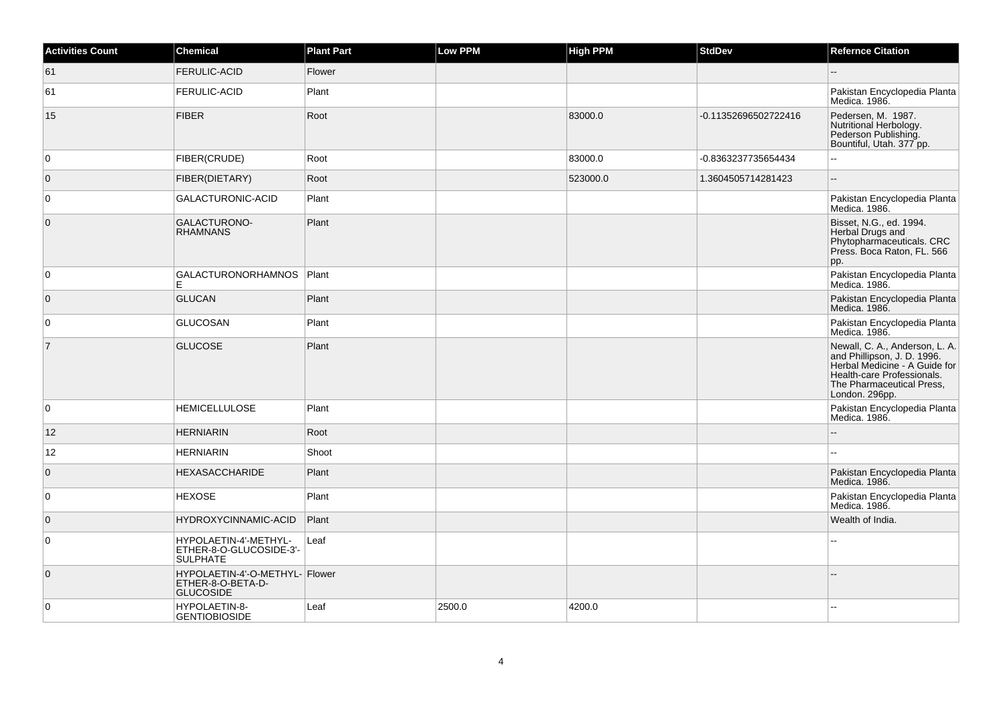| Activities Count | <b>Chemical</b>                                                         | <b>Plant Part</b> | <b>Low PPM</b> | <b>High PPM</b> | <b>StdDev</b>        | <b>Refernce Citation</b>                                                                                                                                                    |
|------------------|-------------------------------------------------------------------------|-------------------|----------------|-----------------|----------------------|-----------------------------------------------------------------------------------------------------------------------------------------------------------------------------|
| 61               | <b>FERULIC-ACID</b>                                                     | Flower            |                |                 |                      |                                                                                                                                                                             |
| 61               | <b>FERULIC-ACID</b>                                                     | Plant             |                |                 |                      | Pakistan Encyclopedia Planta<br>Medica. 1986.                                                                                                                               |
| 15               | <b>FIBER</b>                                                            | Root              |                | 83000.0         | -0.11352696502722416 | Pedersen, M. 1987.<br>Nutritional Herbology.<br>Pederson Publishing.<br>Bountiful, Utah. 377 pp.                                                                            |
| $\Omega$         | FIBER(CRUDE)                                                            | Root              |                | 83000.0         | -0.8363237735654434  |                                                                                                                                                                             |
| $\mathbf{0}$     | FIBER(DIETARY)                                                          | Root              |                | 523000.0        | 1.3604505714281423   | $\overline{a}$                                                                                                                                                              |
| $\overline{0}$   | GALACTURONIC-ACID                                                       | Plant             |                |                 |                      | Pakistan Encyclopedia Planta<br>Medica. 1986.                                                                                                                               |
| $\mathbf 0$      | GALACTURONO-<br><b>RHAMNANS</b>                                         | Plant             |                |                 |                      | Bisset, N.G., ed. 1994.<br>Herbal Drugs and<br>Phytopharmaceuticals. CRC<br>Press. Boca Raton, FL. 566<br>pp.                                                               |
| 0                | GALACTURONORHAMNOS   Plant                                              |                   |                |                 |                      | Pakistan Encyclopedia Planta<br>Medica. 1986.                                                                                                                               |
| $\overline{0}$   | <b>GLUCAN</b>                                                           | Plant             |                |                 |                      | Pakistan Encyclopedia Planta<br>Medica. 1986.                                                                                                                               |
| $\overline{0}$   | <b>GLUCOSAN</b>                                                         | Plant             |                |                 |                      | Pakistan Encyclopedia Planta<br>Medica. 1986.                                                                                                                               |
| $\overline{7}$   | <b>GLUCOSE</b>                                                          | Plant             |                |                 |                      | Newall, C. A., Anderson, L. A.<br>and Phillipson, J. D. 1996.<br>Herbal Medicine - A Guide for<br>Health-care Professionals.<br>The Pharmaceutical Press.<br>London. 296pp. |
| $\overline{0}$   | <b>HEMICELLULOSE</b>                                                    | Plant             |                |                 |                      | Pakistan Encyclopedia Planta<br>Medica. 1986.                                                                                                                               |
| 12               | <b>HERNIARIN</b>                                                        | Root              |                |                 |                      |                                                                                                                                                                             |
| 12               | <b>HERNIARIN</b>                                                        | Shoot             |                |                 |                      |                                                                                                                                                                             |
| $\mathbf{0}$     | <b>HEXASACCHARIDE</b>                                                   | Plant             |                |                 |                      | Pakistan Encyclopedia Planta<br>Medica. 1986.                                                                                                                               |
| 0                | <b>HEXOSE</b>                                                           | Plant             |                |                 |                      | Pakistan Encyclopedia Planta<br>Medica. 1986.                                                                                                                               |
| $\mathbf 0$      | HYDROXYCINNAMIC-ACID                                                    | Plant             |                |                 |                      | Wealth of India.                                                                                                                                                            |
| $\mathbf 0$      | HYPOLAETIN-4'-METHYL-<br>ETHER-8-O-GLUCOSIDE-3'-<br><b>SULPHATE</b>     | Leaf              |                |                 |                      |                                                                                                                                                                             |
| $\mathbf{0}$     | HYPOLAETIN-4'-O-METHYL- Flower<br>ETHER-8-O-BETA-D-<br><b>GLUCOSIDE</b> |                   |                |                 |                      |                                                                                                                                                                             |
| $\Omega$         | HYPOLAETIN-8-<br><b>GENTIOBIOSIDE</b>                                   | Leaf              | 2500.0         | 4200.0          |                      |                                                                                                                                                                             |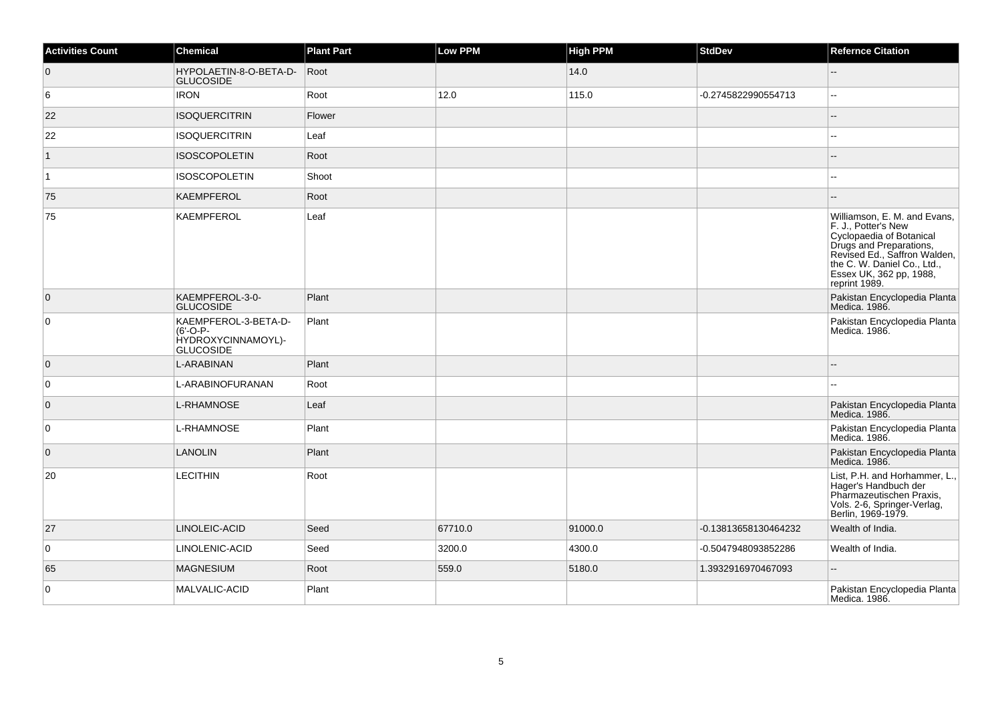| <b>Activities Count</b> | <b>Chemical</b>                                                              | <b>Plant Part</b> | <b>Low PPM</b> | <b>High PPM</b> | <b>StdDev</b>        | <b>Refernce Citation</b>                                                                                                                                                                                              |
|-------------------------|------------------------------------------------------------------------------|-------------------|----------------|-----------------|----------------------|-----------------------------------------------------------------------------------------------------------------------------------------------------------------------------------------------------------------------|
| $\overline{0}$          | HYPOLAETIN-8-O-BETA-D-<br><b>GLUCOSIDE</b>                                   | Root              |                | 14.0            |                      | Ξ.                                                                                                                                                                                                                    |
| 6                       | <b>IRON</b>                                                                  | Root              | 12.0           | 115.0           | -0.2745822990554713  | --                                                                                                                                                                                                                    |
| 22                      | <b>ISOQUERCITRIN</b>                                                         | Flower            |                |                 |                      |                                                                                                                                                                                                                       |
| 22                      | <b>ISOQUERCITRIN</b>                                                         | Leaf              |                |                 |                      | ц,                                                                                                                                                                                                                    |
| $\mathbf{1}$            | <b>ISOSCOPOLETIN</b>                                                         | Root              |                |                 |                      |                                                                                                                                                                                                                       |
| $\vert$ 1               | <b>ISOSCOPOLETIN</b>                                                         | Shoot             |                |                 |                      |                                                                                                                                                                                                                       |
| 75                      | <b>KAEMPFEROL</b>                                                            | Root              |                |                 |                      |                                                                                                                                                                                                                       |
| 75                      | <b>KAEMPFEROL</b>                                                            | Leaf              |                |                 |                      | Williamson, E. M. and Evans,<br>F. J., Potter's New<br>Cyclopaedia of Botanical<br>Drugs and Preparations,<br>Revised Ed., Saffron Walden,<br>the C. W. Daniel Co., Ltd.,<br>Essex UK, 362 pp, 1988,<br>reprint 1989. |
| $\overline{0}$          | KAEMPFEROL-3-0-<br><b>GLUCOSIDE</b>                                          | Plant             |                |                 |                      | Pakistan Encyclopedia Planta<br>Medica. 1986.                                                                                                                                                                         |
| 0                       | KAEMPFEROL-3-BETA-D-<br>$(6'-O-P-$<br>HYDROXYCINNAMOYL)-<br><b>GLUCOSIDE</b> | Plant             |                |                 |                      | Pakistan Encyclopedia Planta<br>Medica. 1986.                                                                                                                                                                         |
| $\overline{0}$          | L-ARABINAN                                                                   | Plant             |                |                 |                      |                                                                                                                                                                                                                       |
| 0                       | L-ARABINOFURANAN                                                             | Root              |                |                 |                      |                                                                                                                                                                                                                       |
| $\overline{0}$          | <b>L-RHAMNOSE</b>                                                            | Leaf              |                |                 |                      | Pakistan Encyclopedia Planta<br>Medica, 1986.                                                                                                                                                                         |
| 0                       | L-RHAMNOSE                                                                   | Plant             |                |                 |                      | Pakistan Encyclopedia Planta<br>Medica. 1986.                                                                                                                                                                         |
| $\overline{0}$          | <b>LANOLIN</b>                                                               | Plant             |                |                 |                      | Pakistan Encyclopedia Planta<br>Medica. 1986.                                                                                                                                                                         |
| 20                      | <b>LECITHIN</b>                                                              | Root              |                |                 |                      | List, P.H. and Horhammer, L.,<br>Hager's Handbuch der<br>Pharmazeutischen Praxis,<br>Vols. 2-6, Springer-Verlag,<br>Berlin, 1969-1979.                                                                                |
| 27                      | LINOLEIC-ACID                                                                | Seed              | 67710.0        | 91000.0         | -0.13813658130464232 | Wealth of India.                                                                                                                                                                                                      |
| $\mathbf 0$             | LINOLENIC-ACID                                                               | Seed              | 3200.0         | 4300.0          | -0.5047948093852286  | Wealth of India.                                                                                                                                                                                                      |
| 65                      | <b>MAGNESIUM</b>                                                             | Root              | 559.0          | 5180.0          | 1.3932916970467093   | ц,                                                                                                                                                                                                                    |
| 0                       | MALVALIC-ACID                                                                | Plant             |                |                 |                      | Pakistan Encyclopedia Planta<br>Medica. 1986.                                                                                                                                                                         |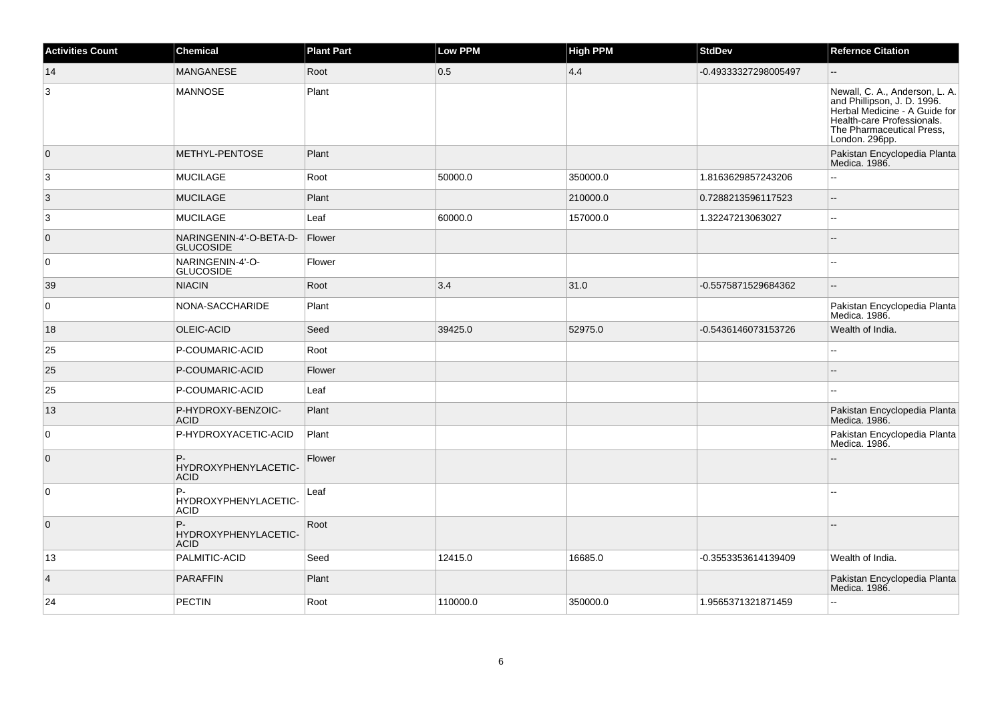| <b>Activities Count</b> | <b>Chemical</b>                             | <b>Plant Part</b> | Low PPM  | <b>High PPM</b> | <b>StdDev</b>        | <b>Refernce Citation</b>                                                                                                                                                    |
|-------------------------|---------------------------------------------|-------------------|----------|-----------------|----------------------|-----------------------------------------------------------------------------------------------------------------------------------------------------------------------------|
| 14                      | <b>MANGANESE</b>                            | Root              | 0.5      | 4.4             | -0.49333327298005497 | Ξ.                                                                                                                                                                          |
| 3                       | <b>MANNOSE</b>                              | Plant             |          |                 |                      | Newall, C. A., Anderson, L. A.<br>and Phillipson, J. D. 1996.<br>Herbal Medicine - A Guide for<br>Health-care Professionals.<br>The Pharmaceutical Press,<br>London. 296pp. |
| $\overline{0}$          | METHYL-PENTOSE                              | Plant             |          |                 |                      | Pakistan Encyclopedia Planta<br>Medica. 1986.                                                                                                                               |
| 3                       | <b>MUCILAGE</b>                             | Root              | 50000.0  | 350000.0        | 1.8163629857243206   | $\overline{a}$                                                                                                                                                              |
| 3                       | <b>MUCILAGE</b>                             | Plant             |          | 210000.0        | 0.7288213596117523   | Ξ.                                                                                                                                                                          |
| 3                       | <b>MUCILAGE</b>                             | Leaf              | 60000.0  | 157000.0        | 1.32247213063027     | $\overline{a}$                                                                                                                                                              |
| $\overline{0}$          | NARINGENIN-4'-O-BETA-D-<br><b>GLUCOSIDE</b> | Flower            |          |                 |                      |                                                                                                                                                                             |
| $\overline{0}$          | NARINGENIN-4'-O-<br><b>GLUCOSIDE</b>        | Flower            |          |                 |                      |                                                                                                                                                                             |
| 39                      | <b>NIACIN</b>                               | Root              | 3.4      | 31.0            | -0.5575871529684362  | $-$                                                                                                                                                                         |
| $\overline{0}$          | NONA-SACCHARIDE                             | Plant             |          |                 |                      | Pakistan Encyclopedia Planta<br>Medica. 1986.                                                                                                                               |
| 18                      | OLEIC-ACID                                  | Seed              | 39425.0  | 52975.0         | -0.5436146073153726  | Wealth of India.                                                                                                                                                            |
| 25                      | P-COUMARIC-ACID                             | Root              |          |                 |                      |                                                                                                                                                                             |
| 25                      | P-COUMARIC-ACID                             | Flower            |          |                 |                      |                                                                                                                                                                             |
| 25                      | P-COUMARIC-ACID                             | Leaf              |          |                 |                      |                                                                                                                                                                             |
| 13                      | P-HYDROXY-BENZOIC-<br><b>ACID</b>           | Plant             |          |                 |                      | Pakistan Encyclopedia Planta<br>Medica. 1986.                                                                                                                               |
| $\overline{0}$          | P-HYDROXYACETIC-ACID                        | Plant             |          |                 |                      | Pakistan Encyclopedia Planta<br>Medica. 1986.                                                                                                                               |
| $\overline{0}$          | P-<br>HYDROXYPHENYLACETIC-<br><b>ACID</b>   | Flower            |          |                 |                      |                                                                                                                                                                             |
| $\overline{0}$          | P-<br>HYDROXYPHENYLACETIC-<br><b>ACID</b>   | Leaf              |          |                 |                      |                                                                                                                                                                             |
| $\overline{0}$          | P-<br>HYDROXYPHENYLACETIC-<br><b>ACID</b>   | Root              |          |                 |                      |                                                                                                                                                                             |
| 13                      | PALMITIC-ACID                               | Seed              | 12415.0  | 16685.0         | -0.3553353614139409  | Wealth of India.                                                                                                                                                            |
| $\overline{4}$          | <b>PARAFFIN</b>                             | Plant             |          |                 |                      | Pakistan Encyclopedia Planta<br>Medica. 1986.                                                                                                                               |
| 24                      | PECTIN                                      | Root              | 110000.0 | 350000.0        | 1.9565371321871459   | $\overline{a}$                                                                                                                                                              |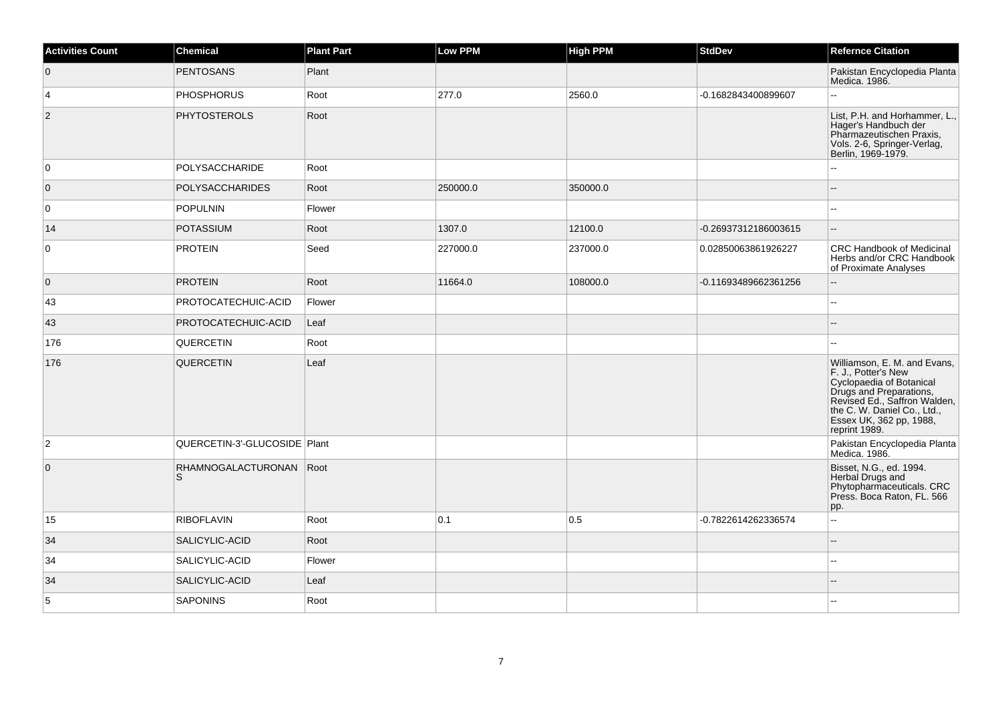| <b>Activities Count</b> | Chemical                       | <b>Plant Part</b> | Low PPM  | <b>High PPM</b> | <b>StdDev</b>        | <b>Refernce Citation</b>                                                                                                                                                                                              |
|-------------------------|--------------------------------|-------------------|----------|-----------------|----------------------|-----------------------------------------------------------------------------------------------------------------------------------------------------------------------------------------------------------------------|
| $\overline{0}$          | <b>PENTOSANS</b>               | Plant             |          |                 |                      | Pakistan Encyclopedia Planta<br>Medica. 1986.                                                                                                                                                                         |
| $\vert$ 4               | <b>PHOSPHORUS</b>              | Root              | 277.0    | 2560.0          | -0.1682843400899607  | L.                                                                                                                                                                                                                    |
| $\overline{2}$          | <b>PHYTOSTEROLS</b>            | Root              |          |                 |                      | List, P.H. and Horhammer, L.,<br>Hager's Handbuch der<br>Pharmazeutischen Praxis,<br>Vols. 2-6, Springer-Verlag,<br>Berlin, 1969-1979.                                                                                |
| 0                       | POLYSACCHARIDE                 | Root              |          |                 |                      | L.                                                                                                                                                                                                                    |
| $\overline{0}$          | <b>POLYSACCHARIDES</b>         | Root              | 250000.0 | 350000.0        |                      | --                                                                                                                                                                                                                    |
| $\overline{0}$          | POPULNIN                       | Flower            |          |                 |                      | 44                                                                                                                                                                                                                    |
| 14                      | <b>POTASSIUM</b>               | Root              | 1307.0   | 12100.0         | -0.26937312186003615 | ш,                                                                                                                                                                                                                    |
| $\overline{0}$          | <b>PROTEIN</b>                 | Seed              | 227000.0 | 237000.0        | 0.02850063861926227  | <b>CRC Handbook of Medicinal</b><br>Herbs and/or CRC Handbook<br>of Proximate Analyses                                                                                                                                |
| $\overline{0}$          | <b>PROTEIN</b>                 | Root              | 11664.0  | 108000.0        | -0.11693489662361256 | $-$                                                                                                                                                                                                                   |
| 43                      | PROTOCATECHUIC-ACID            | Flower            |          |                 |                      | ÷÷.                                                                                                                                                                                                                   |
| 43                      | PROTOCATECHUIC-ACID            | Leaf              |          |                 |                      | $- -$                                                                                                                                                                                                                 |
| 176                     | <b>QUERCETIN</b>               | Root              |          |                 |                      | 44                                                                                                                                                                                                                    |
| 176                     | <b>QUERCETIN</b>               | Leaf              |          |                 |                      | Williamson, E. M. and Evans,<br>F. J., Potter's New<br>Cyclopaedia of Botanical<br>Drugs and Preparations,<br>Revised Ed., Saffron Walden,<br>the C. W. Daniel Co., Ltd.,<br>Essex UK, 362 pp, 1988,<br>reprint 1989. |
| $\overline{2}$          | QUERCETIN-3'-GLUCOSIDE Plant   |                   |          |                 |                      | Pakistan Encyclopedia Planta<br>Medica. 1986.                                                                                                                                                                         |
| $\overline{0}$          | RHAMNOGALACTURONAN   Root<br>S |                   |          |                 |                      | Bisset, N.G., ed. 1994.<br>Herbal Drugs and<br>Phytopharmaceuticals. CRC<br>Press. Boca Raton, FL. 566<br>pp.                                                                                                         |
| 15                      | <b>RIBOFLAVIN</b>              | Root              | 0.1      | 0.5             | -0.7822614262336574  | $\overline{\phantom{a}}$                                                                                                                                                                                              |
| 34                      | SALICYLIC-ACID                 | Root              |          |                 |                      | $-$                                                                                                                                                                                                                   |
| 34                      | SALICYLIC-ACID                 | Flower            |          |                 |                      | --                                                                                                                                                                                                                    |
| 34                      | SALICYLIC-ACID                 | Leaf              |          |                 |                      |                                                                                                                                                                                                                       |
| 5                       | SAPONINS                       | Root              |          |                 |                      |                                                                                                                                                                                                                       |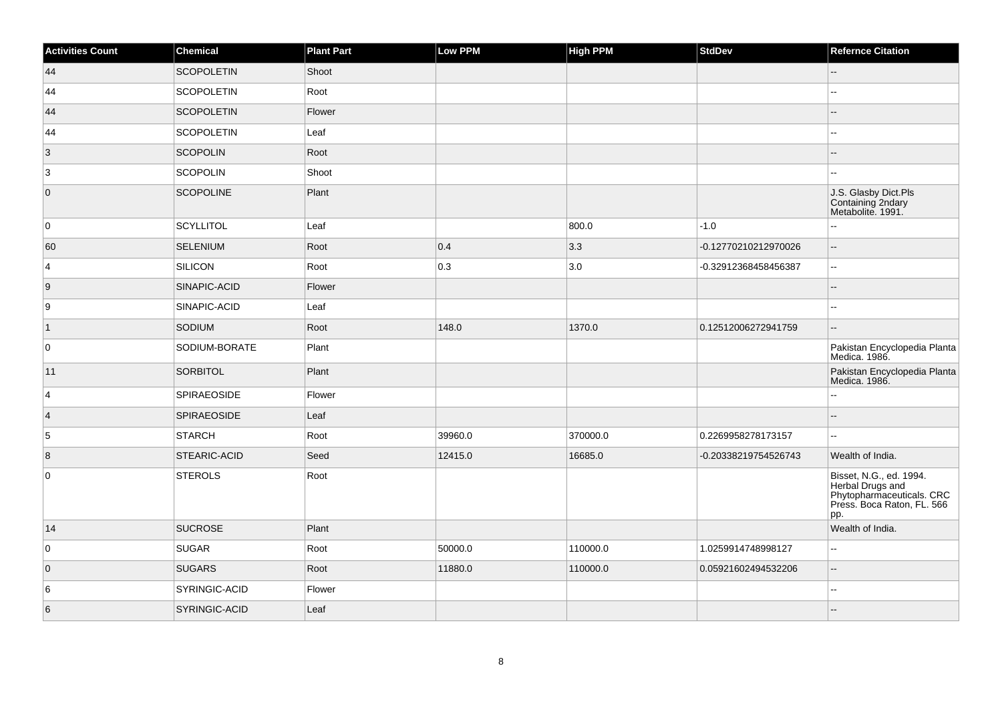| <b>Activities Count</b> | Chemical           | <b>Plant Part</b> | Low PPM | <b>High PPM</b> | <b>StdDev</b>        | <b>Refernce Citation</b>                                                                                      |
|-------------------------|--------------------|-------------------|---------|-----------------|----------------------|---------------------------------------------------------------------------------------------------------------|
| 44                      | <b>SCOPOLETIN</b>  | Shoot             |         |                 |                      | $-$                                                                                                           |
| 44                      | <b>SCOPOLETIN</b>  | Root              |         |                 |                      | шш.                                                                                                           |
| 44                      | <b>SCOPOLETIN</b>  | Flower            |         |                 |                      | $-$                                                                                                           |
| 44                      | <b>SCOPOLETIN</b>  | Leaf              |         |                 |                      | 44                                                                                                            |
| $\vert 3 \vert$         | <b>SCOPOLIN</b>    | Root              |         |                 |                      |                                                                                                               |
| 3                       | <b>SCOPOLIN</b>    | Shoot             |         |                 |                      |                                                                                                               |
| $\overline{0}$          | <b>SCOPOLINE</b>   | Plant             |         |                 |                      | J.S. Glasby Dict.Pls<br>Containing 2ndary<br>Metabolite. 1991.                                                |
| 0                       | <b>SCYLLITOL</b>   | Leaf              |         | 800.0           | $-1.0$               |                                                                                                               |
| 60                      | <b>SELENIUM</b>    | Root              | 0.4     | 3.3             | -0.12770210212970026 | $\overline{\phantom{a}}$                                                                                      |
| $\vert$ 4               | <b>SILICON</b>     | Root              | 0.3     | 3.0             | -0.32912368458456387 | ÷÷                                                                                                            |
| 9                       | SINAPIC-ACID       | Flower            |         |                 |                      | ٠.                                                                                                            |
| 9                       | SINAPIC-ACID       | Leaf              |         |                 |                      | ÷÷.                                                                                                           |
| $\overline{1}$          | SODIUM             | Root              | 148.0   | 1370.0          | 0.12512006272941759  |                                                                                                               |
| 0                       | SODIUM-BORATE      | Plant             |         |                 |                      | Pakistan Encyclopedia Planta<br>Medica. 1986.                                                                 |
| 11                      | <b>SORBITOL</b>    | Plant             |         |                 |                      | Pakistan Encyclopedia Planta<br>Medica. 1986.                                                                 |
| $\overline{4}$          | <b>SPIRAEOSIDE</b> | Flower            |         |                 |                      | Ξ.                                                                                                            |
| $\vert$ 4               | <b>SPIRAEOSIDE</b> | Leaf              |         |                 |                      | $=$                                                                                                           |
| 5                       | <b>STARCH</b>      | Root              | 39960.0 | 370000.0        | 0.2269958278173157   |                                                                                                               |
| 8                       | STEARIC-ACID       | Seed              | 12415.0 | 16685.0         | -0.20338219754526743 | Wealth of India.                                                                                              |
| $\mathsf 0$             | <b>STEROLS</b>     | Root              |         |                 |                      | Bisset, N.G., ed. 1994.<br>Herbal Drugs and<br>Phytopharmaceuticals. CRC<br>Press. Boca Raton, FL. 566<br>pp. |
| 14                      | <b>SUCROSE</b>     | Plant             |         |                 |                      | Wealth of India.                                                                                              |
| 0                       | <b>SUGAR</b>       | Root              | 50000.0 | 110000.0        | 1.0259914748998127   | Щ,                                                                                                            |
| $\overline{0}$          | <b>SUGARS</b>      | Root              | 11880.0 | 110000.0        | 0.05921602494532206  | ż.                                                                                                            |
| 6                       | SYRINGIC-ACID      | Flower            |         |                 |                      | шш.                                                                                                           |
| 6                       | SYRINGIC-ACID      | Leaf              |         |                 |                      |                                                                                                               |